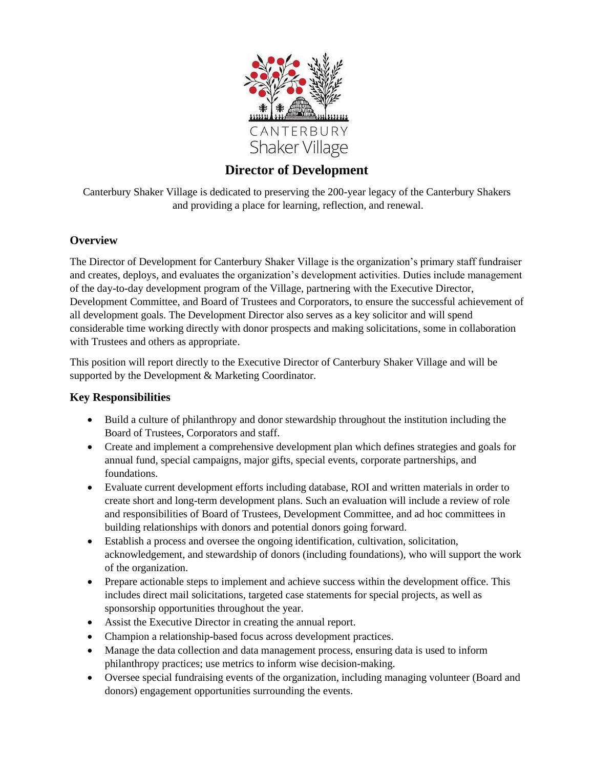

# **Director of Development**

Canterbury Shaker Village is dedicated to preserving the 200-year legacy of the Canterbury Shakers and providing a place for learning, reflection, and renewal.

#### **Overview**

The Director of Development for Canterbury Shaker Village is the organization's primary staff fundraiser and creates, deploys, and evaluates the organization's development activities. Duties include management of the day-to-day development program of the Village, partnering with the Executive Director, Development Committee, and Board of Trustees and Corporators, to ensure the successful achievement of all development goals. The Development Director also serves as a key solicitor and will spend considerable time working directly with donor prospects and making solicitations, some in collaboration with Trustees and others as appropriate.

This position will report directly to the Executive Director of Canterbury Shaker Village and will be supported by the Development & Marketing Coordinator.

#### **Key Responsibilities**

- Build a culture of philanthropy and donor stewardship throughout the institution including the Board of Trustees, Corporators and staff.
- Create and implement a comprehensive development plan which defines strategies and goals for annual fund, special campaigns, major gifts, special events, corporate partnerships, and foundations.
- Evaluate current development efforts including database, ROI and written materials in order to create short and long-term development plans. Such an evaluation will include a review of role and responsibilities of Board of Trustees, Development Committee, and ad hoc committees in building relationships with donors and potential donors going forward.
- Establish a process and oversee the ongoing identification, cultivation, solicitation, acknowledgement, and stewardship of donors (including foundations), who will support the work of the organization.
- Prepare actionable steps to implement and achieve success within the development office. This includes direct mail solicitations, targeted case statements for special projects, as well as sponsorship opportunities throughout the year.
- Assist the Executive Director in creating the annual report.
- Champion a relationship-based focus across development practices.
- Manage the data collection and data management process, ensuring data is used to inform philanthropy practices; use metrics to inform wise decision-making.
- Oversee special fundraising events of the organization, including managing volunteer (Board and donors) engagement opportunities surrounding the events.